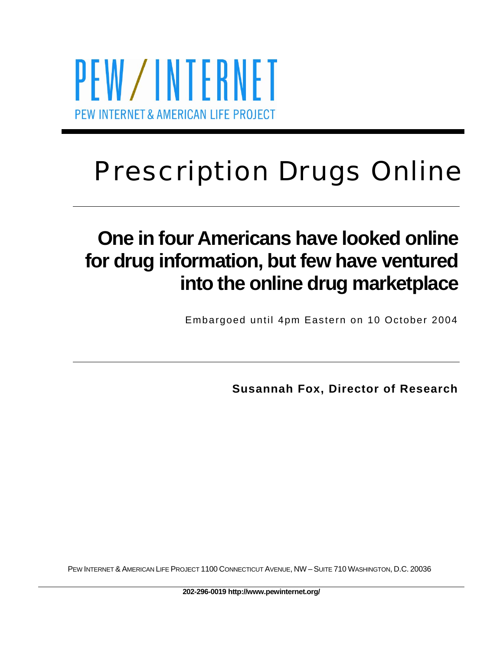PEW/INTERNET PEW INTERNET & AMERICAN LIFE PROJECT

# Prescription Drugs Online

## **One in four Americans have looked online for drug information, but few have ventured into the online drug marketplace**

Embargoed until 4pm Eastern on 10 October 2004

**Susannah Fox, Director of Research** 

PEW INTERNET & AMERICAN LIFE PROJECT 1100 CONNECTICUT AVENUE, NW – SUITE 710 WASHINGTON, D.C. 20036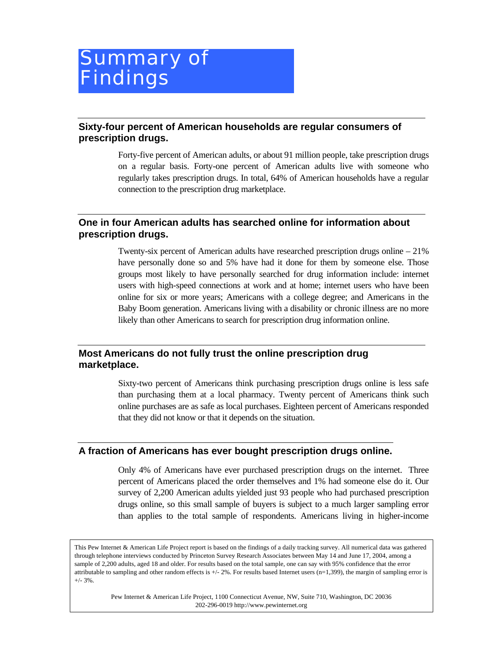## <span id="page-1-0"></span>Summary of **Findings**

#### **Sixty-four percent of American households are regular consumers of prescription drugs.**

Forty-five percent of American adults, or about 91 million people, take prescription drugs on a regular basis. Forty-one percent of American adults live with someone who regularly takes prescription drugs. In total, 64% of American households have a regular connection to the prescription drug marketplace.

#### **One in four American adults has searched online for information about prescription drugs.**

Twenty-six percent of American adults have researched prescription drugs online – 21% have personally done so and 5% have had it done for them by someone else. Those groups most likely to have personally searched for drug information include: internet users with high-speed connections at work and at home; internet users who have been online for six or more years; Americans with a college degree; and Americans in the Baby Boom generation. Americans living with a disability or chronic illness are no more likely than other Americans to search for prescription drug information online.

#### **Most Americans do not fully trust the online prescription drug marketplace.**

Sixty-two percent of Americans think purchasing prescription drugs online is less safe than purchasing them at a local pharmacy. Twenty percent of Americans think such online purchases are as safe as local purchases. Eighteen percent of Americans responded that they did not know or that it depends on the situation.

#### **A fraction of Americans has ever bought prescription drugs online.**

Only 4% of Americans have ever purchased prescription drugs on the internet. Three percent of Americans placed the order themselves and 1% had someone else do it. Our survey of 2,200 American adults yielded just 93 people who had purchased prescription drugs online, so this small sample of buyers is subject to a much larger sampling error than applies to the total sample of respondents. Americans living in higher-income

This Pew Internet & American Life Project report is based on the findings of a daily tracking survey. All numerical data was gathered through telephone interviews conducted by Princeton Survey Research Associates between May 14 and June 17, 2004, among a sample of 2,200 adults, aged 18 and older. For results based on the total sample, one can say with 95% confidence that the error attributable to sampling and other random effects is  $\pm/2\%$ . For results based Internet users (n=1,399), the margin of sampling error is  $+/- 3\%$ .

> Pew Internet & American Life Project, 1100 Connecticut Avenue, NW, Suite 710, Washington, DC 20036 202-296-0019 http://www.pewinternet.org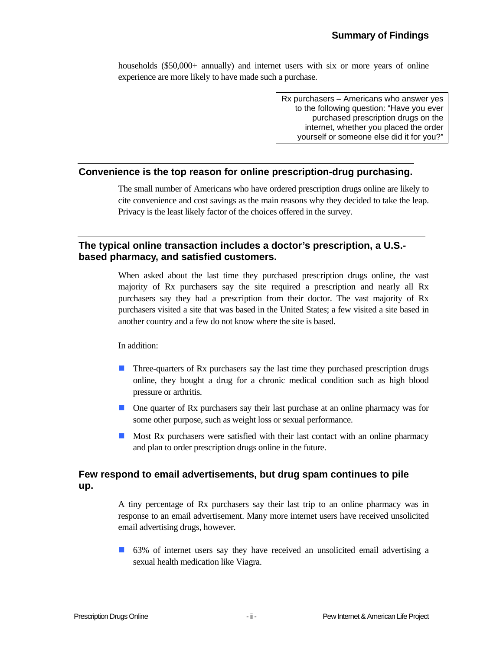households (\$50,000+ annually) and internet users with six or more years of online experience are more likely to have made such a purchase.

> Rx purchasers – Americans who answer yes to the following question: "Have you ever purchased prescription drugs on the internet, whether you placed the order yourself or someone else did it for you?"

#### **Convenience is the top reason for online prescription-drug purchasing.**

The small number of Americans who have ordered prescription drugs online are likely to cite convenience and cost savings as the main reasons why they decided to take the leap. Privacy is the least likely factor of the choices offered in the survey.

#### **The typical online transaction includes a doctor's prescription, a U.S. based pharmacy, and satisfied customers.**

When asked about the last time they purchased prescription drugs online, the vast majority of Rx purchasers say the site required a prescription and nearly all Rx purchasers say they had a prescription from their doctor. The vast majority of Rx purchasers visited a site that was based in the United States; a few visited a site based in another country and a few do not know where the site is based.

In addition:

- **Three-quarters of Rx purchasers say the last time they purchased prescription drugs** online, they bought a drug for a chronic medical condition such as high blood pressure or arthritis.
- One quarter of Rx purchasers say their last purchase at an online pharmacy was for some other purpose, such as weight loss or sexual performance.
- **Most Rx purchasers were satisfied with their last contact with an online pharmacy** and plan to order prescription drugs online in the future.

#### **Few respond to email advertisements, but drug spam continues to pile up.**

A tiny percentage of Rx purchasers say their last trip to an online pharmacy was in response to an email advertisement. Many more internet users have received unsolicited email advertising drugs, however.

63% of internet users say they have received an unsolicited email advertising a sexual health medication like Viagra.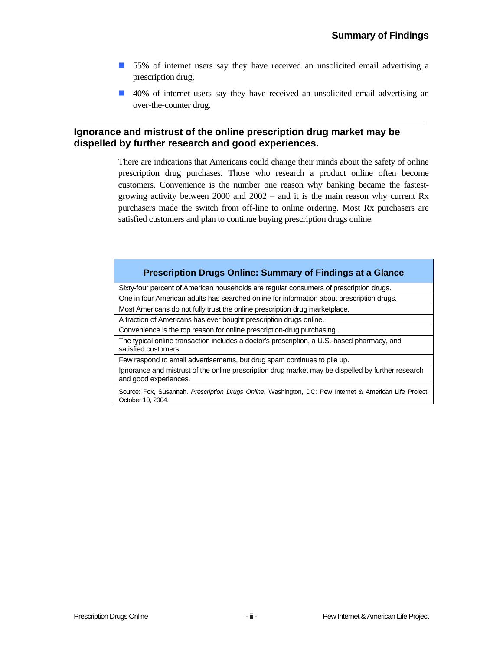- 55% of internet users say they have received an unsolicited email advertising a prescription drug.
- 40% of internet users say they have received an unsolicited email advertising an over-the-counter drug.

#### **Ignorance and mistrust of the online prescription drug market may be dispelled by further research and good experiences.**

There are indications that Americans could change their minds about the safety of online prescription drug purchases. Those who research a product online often become customers. Convenience is the number one reason why banking became the fastestgrowing activity between 2000 and 2002 – and it is the main reason why current Rx purchasers made the switch from off-line to online ordering. Most Rx purchasers are satisfied customers and plan to continue buying prescription drugs online.

#### **Prescription Drugs Online: Summary of Findings at a Glance**

Sixty-four percent of American households are regular consumers of prescription drugs.

One in four American adults has searched online for information about prescription drugs.

Most Americans do not fully trust the online prescription drug marketplace.

A fraction of Americans has ever bought prescription drugs online.

Convenience is the top reason for online prescription-drug purchasing.

The typical online transaction includes a doctor's prescription, a U.S.-based pharmacy, and satisfied customers.

Few respond to email advertisements, but drug spam continues to pile up.

Ignorance and mistrust of the online prescription drug market may be dispelled by further research and good experiences.

Source: Fox, Susannah. *Prescription Drugs Online.* Washington, DC: Pew Internet & American Life Project, October 10, 2004.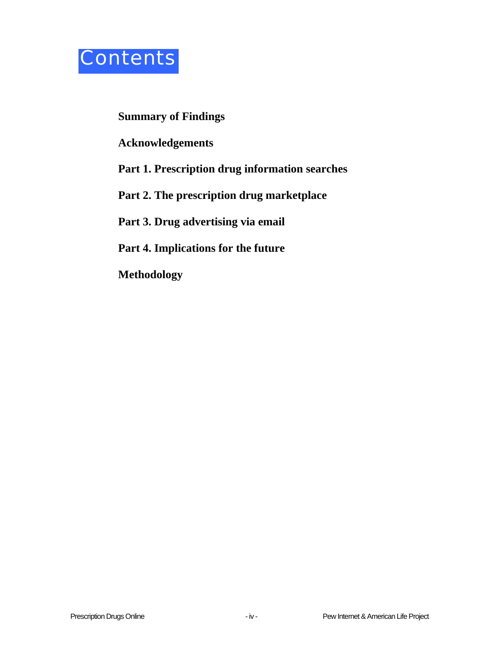

### **[Summary of Findings](#page-1-0)**

**[Acknowledgements](#page-5-0)** 

## **[P](#page-5-0)art 1. [Prescription drug information searches](#page-6-0)**

## **Part 2. [The prescription drug marketplace](#page-10-0)**

### **Part 3. [Drug advertising via email](#page-13-0)**

### **Part 4. [Implications for the future](#page-15-0)**

**[Methodology](#page-16-0)**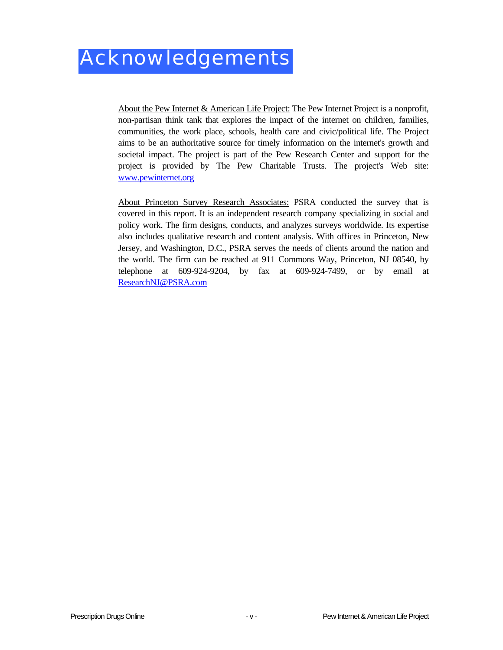<span id="page-5-0"></span>About the Pew Internet & American Life Project: The Pew Internet Project is a nonprofit, non-partisan think tank that explores the impact of the internet on children, families, communities, the work place, schools, health care and civic/political life. The Project aims to be an authoritative source for timely information on the internet's growth and societal impact. The project is part of the Pew Research Center and support for the project is provided by The Pew Charitable Trusts. The project's Web site: [www.pewinternet.org](http://www.pewinternet.org/)

About Princeton Survey Research Associates: PSRA conducted the survey that is covered in this report. It is an independent research company specializing in social and policy work. The firm designs, conducts, and analyzes surveys worldwide. Its expertise also includes qualitative research and content analysis. With offices in Princeton, New Jersey, and Washington, D.C., PSRA serves the needs of clients around the nation and the world. The firm can be reached at 911 Commons Way, Princeton, NJ 08540, by telephone at 609-924-9204, by fax at 609-924-7499, or by email at [ResearchNJ@PSRA.com](mailto:ResearchNJ@PSRA.com)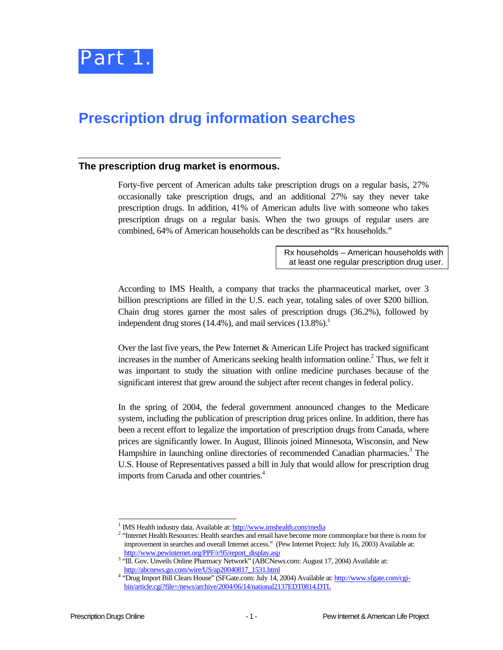

## <span id="page-6-0"></span>**Prescription drug information searches**

#### **The prescription drug market is enormous.**

Forty-five percent of American adults take prescription drugs on a regular basis, 27% occasionally take prescription drugs, and an additional 27% say they never take prescription drugs. In addition, 41% of American adults live with someone who takes prescription drugs on a regular basis. When the two groups of regular users are combined, 64% of American households can be described as "Rx households."

> Rx households – American households with at least one regular prescription drug user.

According to IMS Health, a company that tracks the pharmaceutical market, over 3 billion prescriptions are filled in the U.S. each year, totaling sales of over \$200 billion. Chain drug stores garner the most sales of prescription drugs (36.2%), followed by independent drug stores (14.4%), and mail services (13.8%).<sup>1</sup>

Over the last five years, the Pew Internet & American Life Project has tracked significant increases in the number of Americans seeking health information online. 2 Thus, we felt it was important to study the situation with online medicine purchases because of the significant interest that grew around the subject after recent changes in federal policy.

In the spring of 2004, the federal government announced changes to the Medicare system, including the publication of prescription drug prices online. In addition, there has been a recent effort to legalize the importation of prescription drugs from Canada, where prices are significantly lower. In August, Illinois joined Minnesota, Wisconsin, and New Hampshire in launching online directories of recommended Canadian pharmacies.<sup>[3](#page-6-3)</sup> The U.S. House of Representatives passed a bill in July that would allow for prescription drug imports from Canada and other countries. 4 

 $\frac{1}{1}$ IMS Health industry data. Available at:<http://www.imshealth.com/media> 2

<span id="page-6-2"></span><span id="page-6-1"></span><sup>&</sup>lt;sup>2</sup> "Internet Health Resources: Health searches and email have become more commonplace but there is room for improvement in searches and overall Internet access." (Pew Internet Project: July 16, 2003) Available at: [http://www.pewinternet.org/PPF/r/95/report\\_display.asp](http://www.pewinternet.org/PPF/r/95/report_display.asp) 3

<span id="page-6-3"></span><sup>&</sup>lt;sup>3</sup> "Ill. Gov. Unveils Online Pharmacy Network" (ABCNews.com: August 17, 2004) Available at: [http://abcnews.go.com/wire/US/ap20040817\\_1531.html](http://abcnews.go.com/wire/US/ap20040817_1531.html) 4

<span id="page-6-4"></span><sup>&</sup>lt;sup>4</sup> "Drug Import Bill Clears House" (SFGate.com: July 14, 2004) Available at: [http://www.sfgate.com/cgi](http://www.sfgate.com/cgi-bin/article.cgi?file=/news/archive/2004/06/14/national2137EDT0814.DTL)[bin/article.cgi?file=/news/archive/2004/06/14/national2137EDT0814.DTL](http://www.sfgate.com/cgi-bin/article.cgi?file=/news/archive/2004/06/14/national2137EDT0814.DTL)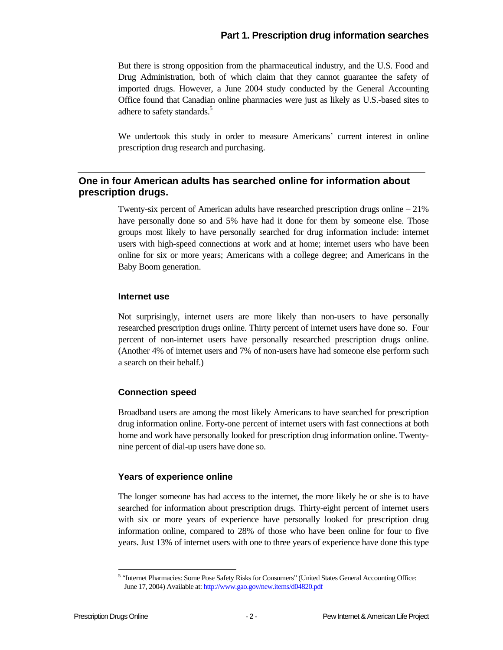#### **Part 1. Prescription drug information searches**

But there is strong opposition from the pharmaceutical industry, and the U.S. Food and Drug Administration, both of which claim that they cannot guarantee the safety of imported drugs. However, a June 2004 study conducted by the General Accounting Office found that Canadian online pharmacies were just as likely as U.S.-based sites to adhere to safety standards.<sup>5</sup>

We undertook this study in order to measure Americans' current interest in online prescription drug research and purchasing.

#### **One in four American adults has searched online for information about prescription drugs.**

Twenty-six percent of American adults have researched prescription drugs online – 21% have personally done so and 5% have had it done for them by someone else. Those groups most likely to have personally searched for drug information include: internet users with high-speed connections at work and at home; internet users who have been online for six or more years; Americans with a college degree; and Americans in the Baby Boom generation.

#### **Internet use**

Not surprisingly, internet users are more likely than non-users to have personally researched prescription drugs online. Thirty percent of internet users have done so. Four percent of non-internet users have personally researched prescription drugs online. (Another 4% of internet users and 7% of non-users have had someone else perform such a search on their behalf.)

#### **Connection speed**

Broadband users are among the most likely Americans to have searched for prescription drug information online. Forty-one percent of internet users with fast connections at both home and work have personally looked for prescription drug information online. Twentynine percent of dial-up users have done so.

#### **Years of experience online**

The longer someone has had access to the internet, the more likely he or she is to have searched for information about prescription drugs. Thirty-eight percent of internet users with six or more years of experience have personally looked for prescription drug information online, compared to 28% of those who have been online for four to five years. Just 13% of internet users with one to three years of experience have done this type

l

<span id="page-7-0"></span><sup>&</sup>lt;sup>5</sup> "Internet Pharmacies: Some Pose Safety Risks for Consumers" (United States General Accounting Office: June 17, 2004) Available at:<http://www.gao.gov/new.items/d04820.pdf>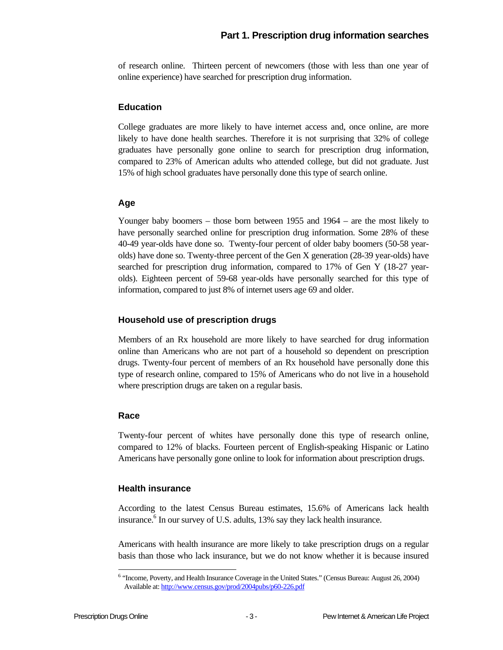#### **Part 1. Prescription drug information searches**

of research online. Thirteen percent of newcomers (those with less than one year of online experience) have searched for prescription drug information.

#### **Education**

College graduates are more likely to have internet access and, once online, are more likely to have done health searches. Therefore it is not surprising that 32% of college graduates have personally gone online to search for prescription drug information, compared to 23% of American adults who attended college, but did not graduate. Just 15% of high school graduates have personally done this type of search online.

#### **Age**

Younger baby boomers – those born between 1955 and 1964 – are the most likely to have personally searched online for prescription drug information. Some 28% of these 40-49 year-olds have done so. Twenty-four percent of older baby boomers (50-58 yearolds) have done so. Twenty-three percent of the Gen X generation (28-39 year-olds) have searched for prescription drug information, compared to 17% of Gen Y (18-27 yearolds). Eighteen percent of 59-68 year-olds have personally searched for this type of information, compared to just 8% of internet users age 69 and older.

#### **Household use of prescription drugs**

Members of an Rx household are more likely to have searched for drug information online than Americans who are not part of a household so dependent on prescription drugs. Twenty-four percent of members of an Rx household have personally done this type of research online, compared to 15% of Americans who do not live in a household where prescription drugs are taken on a regular basis.

#### **Race**

Twenty-four percent of whites have personally done this type of research online, compared to 12% of blacks. Fourteen percent of English-speaking Hispanic or Latino Americans have personally gone online to look for information about prescription drugs.

#### **Health insurance**

According to the latest Census Bureau estimates, 15.6% of Americans lack health insurance.<sup>6</sup> In our survey of U.S. adults, 13% say they lack health insurance.

Americans with health insurance are more likely to take prescription drugs on a regular basis than those who lack insurance, but we do not know whether it is because insured

<span id="page-8-0"></span> 6 "Income, Poverty, and Health Insurance Coverage in the United States." (Census Bureau: August 26, 2004) Available at:<http://www.census.gov/prod/2004pubs/p60-226.pdf>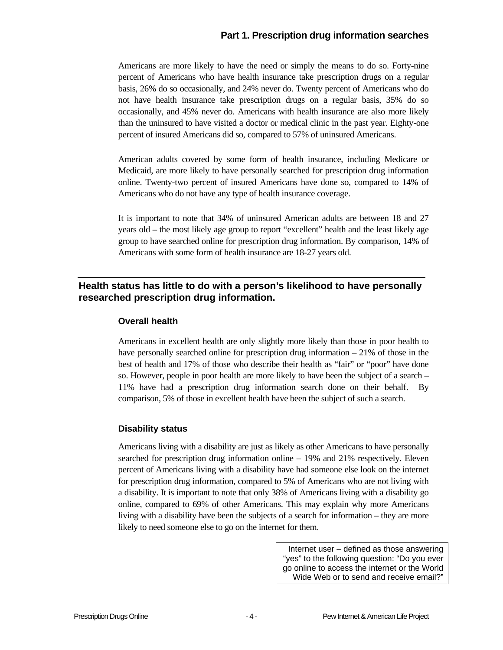#### **Part 1. Prescription drug information searches**

Americans are more likely to have the need or simply the means to do so. Forty-nine percent of Americans who have health insurance take prescription drugs on a regular basis, 26% do so occasionally, and 24% never do. Twenty percent of Americans who do not have health insurance take prescription drugs on a regular basis, 35% do so occasionally, and 45% never do. Americans with health insurance are also more likely than the uninsured to have visited a doctor or medical clinic in the past year. Eighty-one percent of insured Americans did so, compared to 57% of uninsured Americans.

American adults covered by some form of health insurance, including Medicare or Medicaid, are more likely to have personally searched for prescription drug information online. Twenty-two percent of insured Americans have done so, compared to 14% of Americans who do not have any type of health insurance coverage.

It is important to note that 34% of uninsured American adults are between 18 and 27 years old – the most likely age group to report "excellent" health and the least likely age group to have searched online for prescription drug information. By comparison, 14% of Americans with some form of health insurance are 18-27 years old.

#### **Health status has little to do with a person's likelihood to have personally researched prescription drug information.**

#### **Overall health**

Americans in excellent health are only slightly more likely than those in poor health to have personally searched online for prescription drug information – 21% of those in the best of health and 17% of those who describe their health as "fair" or "poor" have done so. However, people in poor health are more likely to have been the subject of a search – 11% have had a prescription drug information search done on their behalf. By comparison, 5% of those in excellent health have been the subject of such a search.

#### **Disability status**

Americans living with a disability are just as likely as other Americans to have personally searched for prescription drug information online – 19% and 21% respectively. Eleven percent of Americans living with a disability have had someone else look on the internet for prescription drug information, compared to 5% of Americans who are not living with a disability. It is important to note that only 38% of Americans living with a disability go online, compared to 69% of other Americans. This may explain why more Americans living with a disability have been the subjects of a search for information – they are more likely to need someone else to go on the internet for them.

> Internet user – defined as those answering "yes" to the following question: "Do you ever go online to access the internet or the World Wide Web or to send and receive email?"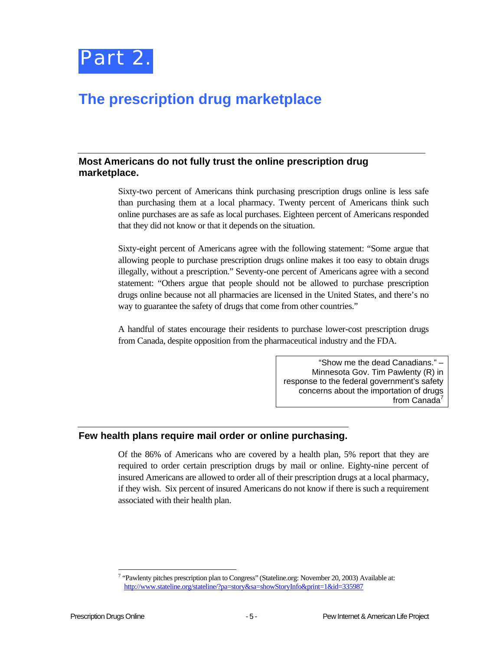

## <span id="page-10-0"></span>**The prescription drug marketplace**

#### **Most Americans do not fully trust the online prescription drug marketplace.**

Sixty-two percent of Americans think purchasing prescription drugs online is less safe than purchasing them at a local pharmacy. Twenty percent of Americans think such online purchases are as safe as local purchases. Eighteen percent of Americans responded that they did not know or that it depends on the situation.

Sixty-eight percent of Americans agree with the following statement: "Some argue that allowing people to purchase prescription drugs online makes it too easy to obtain drugs illegally, without a prescription." Seventy-one percent of Americans agree with a second statement: "Others argue that people should not be allowed to purchase prescription drugs online because not all pharmacies are licensed in the United States, and there's no way to guarantee the safety of drugs that come from other countries."

A handful of states encourage their residents to purchase lower-cost prescription drugs from Canada, despite opposition from the pharmaceutical industry and the FDA.

> "Show me the dead Canadians." – Minnesota Gov. Tim Pawlenty (R) in response to the federal government's safety concerns about the importation of drugs from Canada'

#### **Few health plans require mail order or online purchasing.**

Of the 86% of Americans who are covered by a health plan, 5% report that they are required to order certain prescription drugs by mail or online. Eighty-nine percent of insured Americans are allowed to order all of their prescription drugs at a local pharmacy, if they wish. Six percent of insured Americans do not know if there is such a requirement associated with their health plan.

<span id="page-10-1"></span> $\frac{1}{7}$  $\frac{7}{1}$  "Pawlenty pitches prescription plan to Congress" (Stateline.org: November 20, 2003) Available at: <http://www.stateline.org/stateline/?pa=story&sa=showStoryInfo&print=1&id=335987>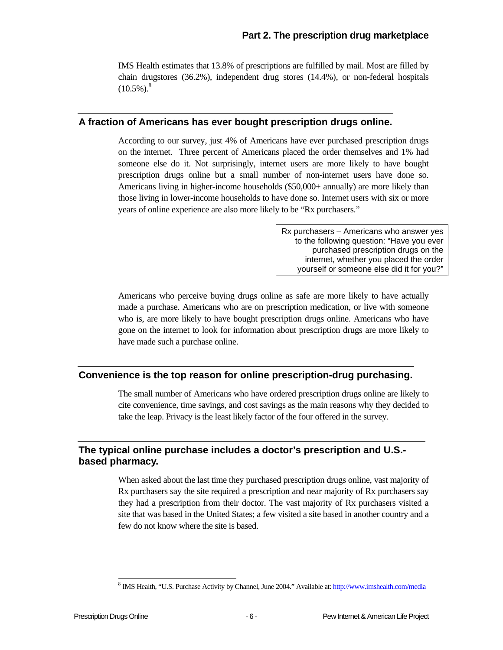IMS Health estimates that 13.8% of prescriptions are fulfilled by mail. Most are filled by chain drugstores (36.2%), independent drug stores (14.4%), or non-federal hospitals  $(10.5\%)$ .<sup>8</sup>

#### **A fraction of Americans has ever bought prescription drugs online.**

According to our survey, just 4% of Americans have ever purchased prescription drugs on the internet. Three percent of Americans placed the order themselves and 1% had someone else do it. Not surprisingly, internet users are more likely to have bought prescription drugs online but a small number of non-internet users have done so. Americans living in higher-income households (\$50,000+ annually) are more likely than those living in lower-income households to have done so. Internet users with six or more years of online experience are also more likely to be "Rx purchasers."

> Rx purchasers – Americans who answer yes to the following question: "Have you ever purchased prescription drugs on the internet, whether you placed the order yourself or someone else did it for you?"

Americans who perceive buying drugs online as safe are more likely to have actually made a purchase. Americans who are on prescription medication, or live with someone who is, are more likely to have bought prescription drugs online. Americans who have gone on the internet to look for information about prescription drugs are more likely to have made such a purchase online.

#### **Convenience is the top reason for online prescription-drug purchasing.**

The small number of Americans who have ordered prescription drugs online are likely to cite convenience, time savings, and cost savings as the main reasons why they decided to take the leap. Privacy is the least likely factor of the four offered in the survey.

#### **The typical online purchase includes a doctor's prescription and U.S. based pharmacy.**

When asked about the last time they purchased prescription drugs online, vast majority of Rx purchasers say the site required a prescription and near majority of Rx purchasers say they had a prescription from their doctor. The vast majority of Rx purchasers visited a site that was based in the United States; a few visited a site based in another country and a few do not know where the site is based.

<span id="page-11-0"></span> $\frac{1}{8}$ <sup>8</sup> IMS Health, "U.S. Purchase Activity by Channel, June 2004." Available at:<http://www.imshealth.com/media>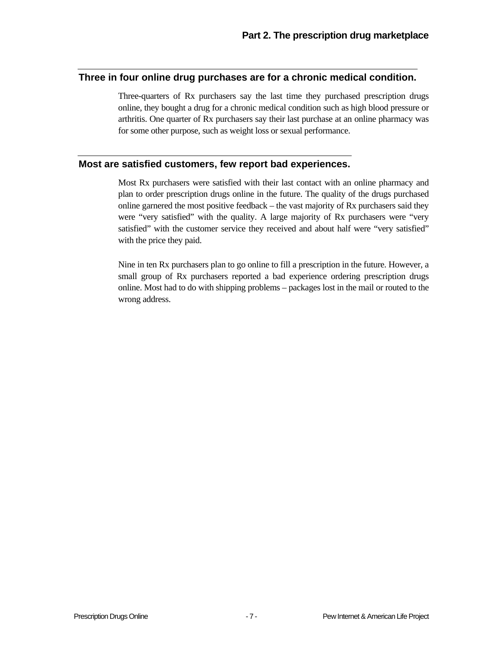#### **Three in four online drug purchases are for a chronic medical condition.**

Three-quarters of Rx purchasers say the last time they purchased prescription drugs online, they bought a drug for a chronic medical condition such as high blood pressure or arthritis. One quarter of Rx purchasers say their last purchase at an online pharmacy was for some other purpose, such as weight loss or sexual performance.

#### **Most are satisfied customers, few report bad experiences.**

Most Rx purchasers were satisfied with their last contact with an online pharmacy and plan to order prescription drugs online in the future. The quality of the drugs purchased online garnered the most positive feedback – the vast majority of Rx purchasers said they were "very satisfied" with the quality. A large majority of Rx purchasers were "very satisfied" with the customer service they received and about half were "very satisfied" with the price they paid.

Nine in ten Rx purchasers plan to go online to fill a prescription in the future. However, a small group of Rx purchasers reported a bad experience ordering prescription drugs online. Most had to do with shipping problems – packages lost in the mail or routed to the wrong address.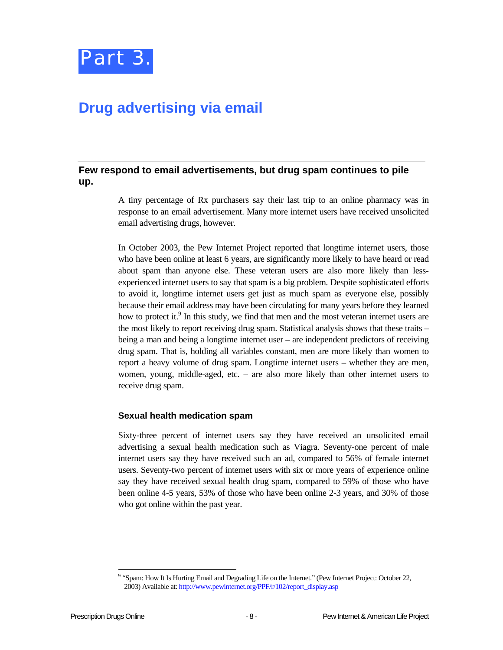

## <span id="page-13-0"></span>**Drug advertising via email**

#### **Few respond to email advertisements, but drug spam continues to pile up.**

A tiny percentage of Rx purchasers say their last trip to an online pharmacy was in response to an email advertisement. Many more internet users have received unsolicited email advertising drugs, however.

In October 2003, the Pew Internet Project reported that longtime internet users, those who have been online at least 6 years, are significantly more likely to have heard or read about spam than anyone else. These veteran users are also more likely than lessexperienced internet users to say that spam is a big problem. Despite sophisticated efforts to avoid it, longtime internet users get just as much spam as everyone else, possibly because their email address may have been circulating for many years before they learned how to protect it.<sup>9</sup> In this study, we find that men and the most veteran internet users are the most likely to report receiving drug spam. Statistical analysis shows that these traits – being a man and being a longtime internet user – are independent predictors of receiving drug spam. That is, holding all variables constant, men are more likely than women to report a heavy volume of drug spam. Longtime internet users – whether they are men, women, young, middle-aged, etc. – are also more likely than other internet users to receive drug spam.

#### **Sexual health medication spam**

Sixty-three percent of internet users say they have received an unsolicited email advertising a sexual health medication such as Viagra. Seventy-one percent of male internet users say they have received such an ad, compared to 56% of female internet users. Seventy-two percent of internet users with six or more years of experience online say they have received sexual health drug spam, compared to 59% of those who have been online 4-5 years, 53% of those who have been online 2-3 years, and 30% of those who got online within the past year.

<span id="page-13-1"></span><sup>-&</sup>lt;br>9 <sup>9</sup> "Spam: How It Is Hurting Email and Degrading Life on the Internet." (Pew Internet Project: October 22, 2003) Available at: [http://www.pewinternet.org/PPF/r/102/report\\_display.asp](http://www.pewinternet.org/PPF/r/102/report_display.asp)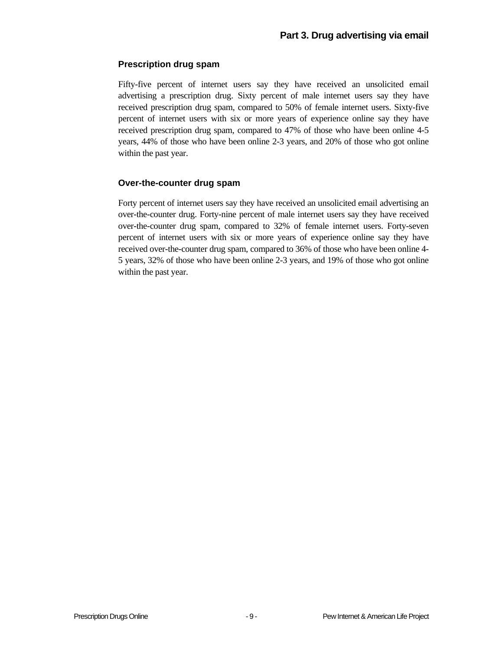#### **Prescription drug spam**

Fifty-five percent of internet users say they have received an unsolicited email advertising a prescription drug. Sixty percent of male internet users say they have received prescription drug spam, compared to 50% of female internet users. Sixty-five percent of internet users with six or more years of experience online say they have received prescription drug spam, compared to 47% of those who have been online 4-5 years, 44% of those who have been online 2-3 years, and 20% of those who got online within the past year.

#### **Over-the-counter drug spam**

Forty percent of internet users say they have received an unsolicited email advertising an over-the-counter drug. Forty-nine percent of male internet users say they have received over-the-counter drug spam, compared to 32% of female internet users. Forty-seven percent of internet users with six or more years of experience online say they have received over-the-counter drug spam, compared to 36% of those who have been online 4- 5 years, 32% of those who have been online 2-3 years, and 19% of those who got online within the past year.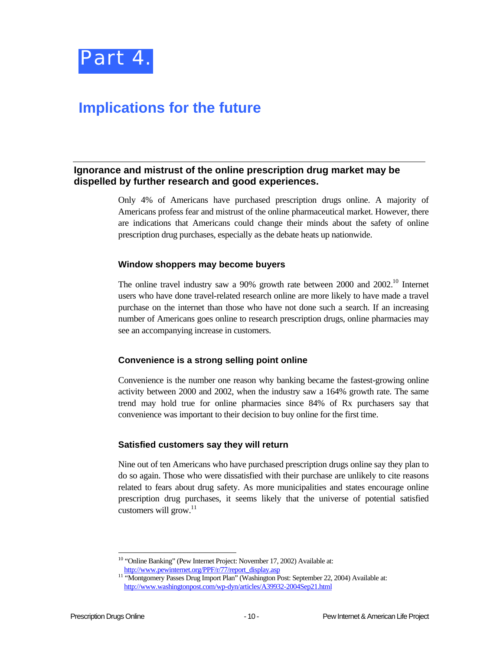

## <span id="page-15-0"></span>**Implications for the future**

#### **Ignorance and mistrust of the online prescription drug market may be dispelled by further research and good experiences.**

Only 4% of Americans have purchased prescription drugs online. A majority of Americans profess fear and mistrust of the online pharmaceutical market. However, there are indications that Americans could change their minds about the safety of online prescription drug purchases, especially as the debate heats up nationwide.

#### **Window shoppers may become buyers**

The online travel industry saw a 90% growth rate between 2000 and 2002.<sup>10</sup> Internet users who have done travel-related research online are more likely to have made a travel purchase on the internet than those who have not done such a search. If an increasing number of Americans goes online to research prescription drugs, online pharmacies may see an accompanying increase in customers.

#### **Convenience is a strong selling point online**

Convenience is the number one reason why banking became the fastest-growing online activity between 2000 and 2002, when the industry saw a 164% growth rate. The same trend may hold true for online pharmacies since 84% of Rx purchasers say that convenience was important to their decision to buy online for the first time.

#### **Satisfied customers say they will return**

Nine out of ten Americans who have purchased prescription drugs online say they plan to do so again. Those who were dissatisfied with their purchase are unlikely to cite reasons related to fears about drug safety. As more municipalities and states encourage online prescription drug purchases, it seems likely that the universe of potential satisfied customers will grow.<sup>11</sup>

<span id="page-15-1"></span> <sup>10 &</sup>quot;Online Banking" (Pew Internet Project: November 17, 2002) Available at:

<span id="page-15-2"></span>[http://www.pewinternet.org/PPF/r/77/report\\_display.asp](http://www.pewinternet.org/PPF/r/77/report_display.asp) 11 "Montgomery Passes Drug Import Plan" (Washington Post: September 22, 2004) Available at: <http://www.washingtonpost.com/wp-dyn/articles/A39932-2004Sep21.html>